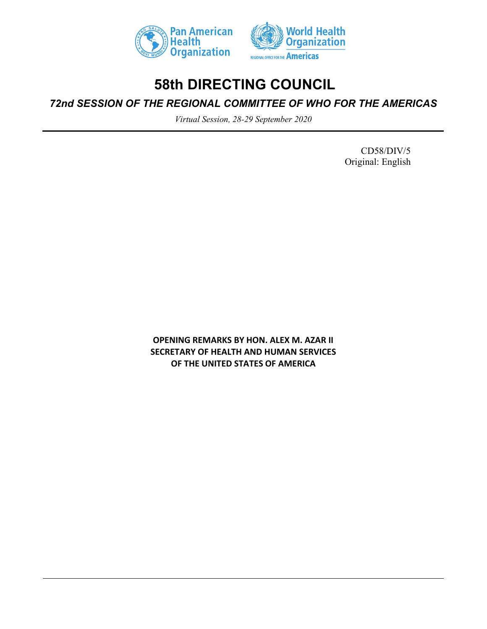



# **58th DIRECTING COUNCIL**

# *72nd SESSION OF THE REGIONAL COMMITTEE OF WHO FOR THE AMERICAS*

*Virtual Session, 28-29 September 2020*

CD58/DIV/5 Original: English

**OPENING REMARKS BY HON. ALEX M. AZAR II SECRETARY OF HEALTH AND HUMAN SERVICES OF THE UNITED STATES OF AMERICA**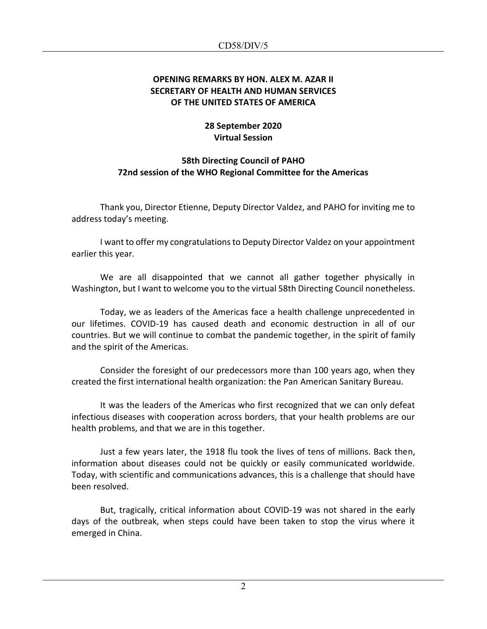#### **OPENING REMARKS BY HON. ALEX M. AZAR II SECRETARY OF HEALTH AND HUMAN SERVICES OF THE UNITED STATES OF AMERICA**

## **28 September 2020 Virtual Session**

## **58th Directing Council of PAHO 72nd session of the WHO Regional Committee for the Americas**

Thank you, Director Etienne, Deputy Director Valdez, and PAHO for inviting me to address today's meeting.

I want to offer my congratulations to Deputy Director Valdez on your appointment earlier this year.

We are all disappointed that we cannot all gather together physically in Washington, but I want to welcome you to the virtual 58th Directing Council nonetheless.

Today, we as leaders of the Americas face a health challenge unprecedented in our lifetimes. COVID-19 has caused death and economic destruction in all of our countries. But we will continue to combat the pandemic together, in the spirit of family and the spirit of the Americas.

Consider the foresight of our predecessors more than 100 years ago, when they created the first international health organization: the Pan American Sanitary Bureau.

It was the leaders of the Americas who first recognized that we can only defeat infectious diseases with cooperation across borders, that your health problems are our health problems, and that we are in this together.

Just a few years later, the 1918 flu took the lives of tens of millions. Back then, information about diseases could not be quickly or easily communicated worldwide. Today, with scientific and communications advances, this is a challenge that should have been resolved.

But, tragically, critical information about COVID-19 was not shared in the early days of the outbreak, when steps could have been taken to stop the virus where it emerged in China.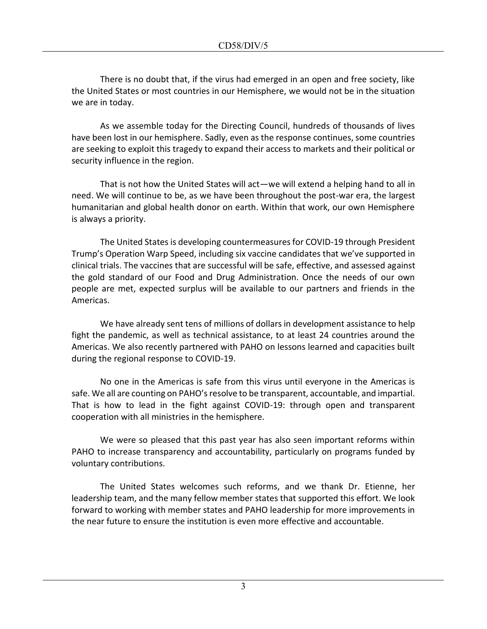There is no doubt that, if the virus had emerged in an open and free society, like the United States or most countries in our Hemisphere, we would not be in the situation we are in today.

As we assemble today for the Directing Council, hundreds of thousands of lives have been lost in our hemisphere. Sadly, even as the response continues, some countries are seeking to exploit this tragedy to expand their access to markets and their political or security influence in the region.

That is not how the United States will act—we will extend a helping hand to all in need. We will continue to be, as we have been throughout the post-war era, the largest humanitarian and global health donor on earth. Within that work, our own Hemisphere is always a priority.

The United States is developing countermeasures for COVID-19 through President Trump's Operation Warp Speed, including six vaccine candidates that we've supported in clinical trials. The vaccines that are successful will be safe, effective, and assessed against the gold standard of our Food and Drug Administration. Once the needs of our own people are met, expected surplus will be available to our partners and friends in the Americas.

We have already sent tens of millions of dollars in development assistance to help fight the pandemic, as well as technical assistance, to at least 24 countries around the Americas. We also recently partnered with PAHO on lessons learned and capacities built during the regional response to COVID-19.

No one in the Americas is safe from this virus until everyone in the Americas is safe. We all are counting on PAHO's resolve to be transparent, accountable, and impartial. That is how to lead in the fight against COVID-19: through open and transparent cooperation with all ministries in the hemisphere.

We were so pleased that this past year has also seen important reforms within PAHO to increase transparency and accountability, particularly on programs funded by voluntary contributions.

The United States welcomes such reforms, and we thank Dr. Etienne, her leadership team, and the many fellow member states that supported this effort. We look forward to working with member states and PAHO leadership for more improvements in the near future to ensure the institution is even more effective and accountable.